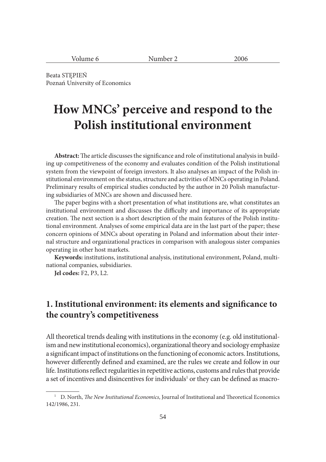| .<br>$\Delta r$<br>umr<br>olum<br>-- |  |
|--------------------------------------|--|
|--------------------------------------|--|

Beata STĘPIEŃ Poznań University of Economics

# **How MNCs' perceive and respond to the Polish institutional environment**

Abstract: The article discusses the significance and role of institutional analysis in building up competitiveness of the economy and evaluates condition of the Polish institutional system from the viewpoint of foreign investors. It also analyses an impact of the Polish institutional environment on the status, structure and activities of MNCs operating in Poland. Preliminary results of empirical studies conducted by the author in 20 Polish manufacturing subsidiaries of MNCs are shown and discussed here.

The paper begins with a short presentation of what institutions are, what constitutes an institutional environment and discusses the difficulty and importance of its appropriate creation. The next section is a short description of the main features of the Polish institutional environment. Analyses of some empirical data are in the last part of the paper; these concern opinions of MNCs about operating in Poland and information about their internal structure and organizational practices in comparison with analogous sister companies operating in other host markets.

**Keywords:** institutions, institutional analysis, institutional environment, Poland, multinational companies, subsidiaries.

**Jel codes:** F2, P3, L2.

## **1.** Institutional environment: its elements and significance to **the country's competitiveness**

All theoretical trends dealing with institutions in the economy (e.g. old institutionalism and new institutional economics), organizational theory and sociology emphasize a significant impact of institutions on the functioning of economic actors. Institutions, however differently defined and examined, are the rules we create and follow in our life. Institutions reflect regularities in repetitive actions, customs and rules that provide a set of incentives and disincentives for individuals<sup>1</sup> or they can be defined as macro-

<sup>&</sup>lt;sup>1</sup> D. North, *The New Institutional Economics*, Journal of Institutional and Theoretical Economics 142/1986, 231.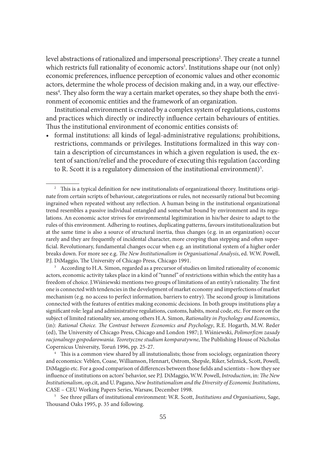level abstractions of rationalized and impersonal prescriptions<sup>2</sup>. They create a tunnel which restricts full rationality of economic actors<sup>3</sup>. Institutions shape our (not only) economic preferences, influence perception of economic values and other economic actors, determine the whole process of decision making and, in a way, our effectiveness<sup>4</sup>. They also form the way a certain market operates, so they shape both the environment of economic entities and the framework of an organization.

Institutional environment is created by a complex system of regulations, customs and practices which directly or indirectly influence certain behaviours of entities. Thus the institutional environment of economic entities consists of:

• formal institutions: all kinds of legal-administrative regulations; prohibitions, restrictions, commands or privileges. Institutions formalized in this way contain a description of circumstances in which a given regulation is used, the extent of sanction/relief and the procedure of executing this regulation (according to R. Scott it is a regulatory dimension of the institutional environment)<sup>5</sup>.

<sup>3</sup> According to H.A. Simon, regarded as a precursor of studies on limited rationality of economic actors, economic activity takes place in a kind of "tunnel" of restrictions within which the entity has a freedom of choice. J.Wiśniewski mentions two groups of limitations of an entity's rationality. The first one is connected with tendencies in the development of market economy and imperfections of market mechanism (e.g. no access to perfect information, barriers to entry). The second group is limitations connected with the features of entities making economic decisions. In both groups institutions play a significant role: legal and administrative regulations, customs, habits, moral code, etc. For more on the subject of limited rationality see, among others H.A. Simon, *Rationality in Psychology and Economics*, (in): *Rational Choice. The Contrast between Economics and Psychology*, R.E. Hogarth, M.W. Reder (ed), The University of Chicago Press, Chicago and London 1987; J. Wiśniewski, *Polimorfizm zasady* racjonalnego gospodarowania. Teoretyczne studium komparatywne, The Publishing House of Nicholas Copernicus University, Toruń 1996, pp. 25-27.

<sup>4</sup> This is a common view shared by all instutionalists; those from sociology, organization theory and economics: Veblen, Coase, Williamson, Hennart, Ostrom, Shepsle, Riker, Selznick, Scott, Powell, DiMaggio etc. For a good comparison of differences between those fields and scientists – how they see influence of institutions on actors' behavior, see P.J. DiMaggio, W.W. Powell, *Introduction*, in: *The New Institutionalism*, op.cit, and U. Pagano, *New Institutionalism and the Diversity of Economic Institutions*, CASE – CEU Working Papers Series, Warsaw, December 1998. 5 See three pillars of institutional environment: W.R. Scott, *Institutions and Organisations*, Sage,

Thousand Oaks 1995, p. 35 and following.

 $2\degree$  This is a typical definition for new institutionalists of organizational theory. Institutions originate from certain scripts of behaviour, categorizations or rules, not necessarily rational but becoming ingrained when repeated without any reflection. A human being in the institutional organizational trend resembles a passive individual entangled and somewhat bound by environment and its regulations. An economic actor strives for environmental legitimization in his/her desire to adapt to the rules of this environment. Adhering to routines, duplicating patterns, favours institutionalization but at the same time is also a source of structural inertia, thus changes (e.g. in an organization) occur rarely and they are frequently of incidental character, more creeping than stepping and often superficial. Revolutionary, fundamental changes occur when e.g. an institutional system of a higher order breaks down. For more see e.g. *The New Institutionalism in Organisational Analysis*, ed. W.W. Powell, P.J. DiMaggio, The University of Chicago Press, Chicago 1991.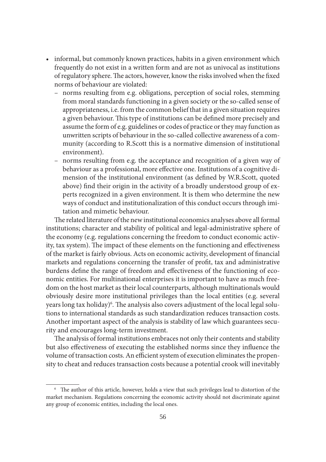- informal, but commonly known practices, habits in a given environment which frequently do not exist in a written form and are not as univocal as institutions of regulatory sphere. The actors, however, know the risks involved when the fixed norms of behaviour are violated:
	- norms resulting from e.g. obligations, perception of social roles, stemming from moral standards functioning in a given society or the so-called sense of appropriateness, i.e. from the common belief that in a given situation requires a given behaviour. This type of institutions can be defined more precisely and assume the form of e.g. guidelines or codes of practice or they may function as unwritten scripts of behaviour in the so-called collective awareness of a community (according to R.Scott this is a normative dimension of institutional environment).
	- norms resulting from e.g. the acceptance and recognition of a given way of behaviour as a professional, more effective one. Institutions of a cognitive dimension of the institutional environment (as defined by W.R.Scott, quoted above) find their origin in the activity of a broadly understood group of experts recognized in a given environment. It is them who determine the new ways of conduct and institutionalization of this conduct occurs through imitation and mimetic behaviour.

The related literature of the new institutional economics analyses above all formal institutions; character and stability of political and legal-administrative sphere of the economy (e.g. regulations concerning the freedom to conduct economic activity, tax system). The impact of these elements on the functioning and effectiveness of the market is fairly obvious. Acts on economic activity, development of financial markets and regulations concerning the transfer of profit, tax and administrative burdens define the range of freedom and effectiveness of the functioning of economic entities. For multinational enterprises it is important to have as much freedom on the host market as their local counterparts, although multinationals would obviously desire more institutional privileges than the local entities (e.g. several years long tax holiday)<sup>6</sup>. The analysis also covers adjustment of the local legal solutions to international standards as such standardization reduces transaction costs. Another important aspect of the analysis is stability of law which guarantees security and encourages long-term investment.

The analysis of formal institutions embraces not only their contents and stability but also effectiveness of executing the established norms since they influence the volume of transaction costs. An efficient system of execution eliminates the propensity to cheat and reduces transaction costs because a potential crook will inevitably

 $6$  The author of this article, however, holds a view that such privileges lead to distortion of the market mechanism. Regulations concerning the economic activity should not discriminate against any group of economic entities, including the local ones.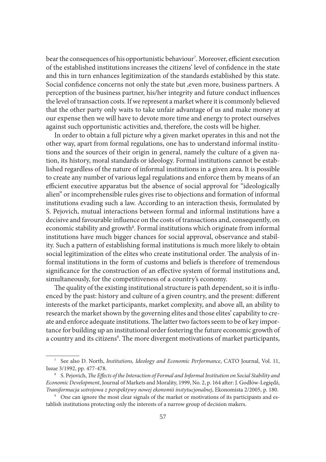bear the consequences of his opportunistic behaviour<sup>7</sup>. Moreover, efficient execution of the established institutions increases the citizens' level of confidence in the state and this in turn enhances legitimization of the standards established by this state. Social confidence concerns not only the state but , even more, business partners. A perception of the business partner, his/her integrity and future conduct influences the level of transaction costs. If we represent a market where it is commonly believed that the other party only waits to take unfair advantage of us and make money at our expense then we will have to devote more time and energy to protect ourselves against such opportunistic activities and, therefore, the costs will be higher.

In order to obtain a full picture why a given market operates in this and not the other way, apart from formal regulations, one has to understand informal institutions and the sources of their origin in general, namely the culture of a given nation, its history, moral standards or ideology. Formal institutions cannot be established regardless of the nature of informal institutions in a given area. It is possible to create any number of various legal regulations and enforce them by means of an efficient executive apparatus but the absence of social approval for "ideologically alien" or incomprehensible rules gives rise to objections and formation of informal institutions evading such a law. According to an interaction thesis, formulated by S. Pejovich, mutual interactions between formal and informal institutions have a decisive and favourable influence on the costs of transactions and, consequently, on economic stability and growth<sup>8</sup>. Formal institutions which originate from informal institutions have much bigger chances for social approval, observance and stability. Such a pattern of establishing formal institutions is much more likely to obtain social legitimization of the elites who create institutional order. The analysis of informal institutions in the form of customs and beliefs is therefore of tremendous significance for the construction of an effective system of formal institutions and, simultaneously, for the competitiveness of a country's economy.

The quality of the existing institutional structure is path dependent, so it is influenced by the past: history and culture of a given country, and the present: different interests of the market participants, market complexity, and above all, an ability to research the market shown by the governing elites and those elites' capability to create and enforce adequate institutions. The latter two factors seem to be of key importance for building up an institutional order fostering the future economic growth of a country and its citizens<sup>9</sup>. The more divergent motivations of market participants,

<sup>7</sup> See also D. North, *Institutions, Ideology and Economic Performance*, CATO Journal, Vol. 11, Issue 3/1992, pp. 477-478.

<sup>&</sup>lt;sup>8</sup> S. Pejovich, *The Effects of the Interaction of Formal and Informal Institution on Social Stability and Economic Development*, Journal of Markets and Morality, 1999, No. 2, p. 164 aft er: J. Godłów-Legiędź, *Transformacja ustrojowa z perspektywy nowej ekonomii instytucjonalnej*, Ekonomista 2/2005, p. 180.

<sup>&</sup>lt;sup>9</sup> One can ignore the most clear signals of the market or motivations of its participants and establish institutions protecting only the interests of a narrow group of decision makers.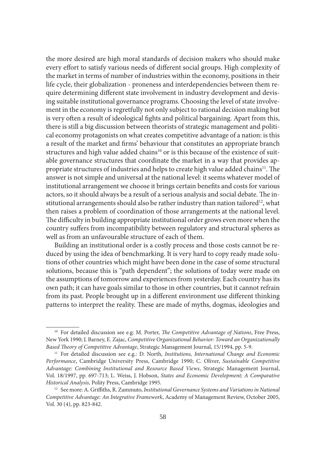the more desired are high moral standards of decision makers who should make every effort to satisfy various needs of different social groups. High complexity of the market in terms of number of industries within the economy, positions in their life cycle, their globalization - proneness and interdependencies between them require determining different state involvement in industry development and devising suitable institutional governance programs. Choosing the level of state involvement in the economy is regretfully not only subject to rational decision making but is very often a result of ideological fights and political bargaining. Apart from this, there is still a big discussion between theorists of strategic management and political economy protagonists on what creates competitive advantage of a nation: is this a result of the market and firms' behaviour that constitutes an appropriate branch structures and high value added chains<sup>10</sup> or is this because of the existence of suitable governance structures that coordinate the market in a way that provides appropriate structures of industries and helps to create high value added chains<sup>11</sup>. The answer is not simple and universal at the national level: it seems whatever model of institutional arrangement we choose it brings certain benefits and costs for various actors, so it should always be a result of a serious analysis and social debate. The institutional arrangements should also be rather industry than nation tailored<sup>12</sup>, what then raises a problem of coordination of those arrangements at the national level. The difficulty in building appropriate institutional order grows even more when the country suffers from incompatibility between regulatory and structural spheres as well as from an unfavourable structure of each of them.

Building an institutional order is a costly process and those costs cannot be reduced by using the idea of benchmarking. It is very hard to copy ready made solutions of other countries which might have been done in the case of some structural solutions, because this is "path dependent"; the solutions of today were made on the assumptions of tomorrow and experiences from yesterday. Each country has its own path; it can have goals similar to those in other countries, but it cannot refrain from its past. People brought up in a different environment use different thinking patterns to interpret the reality. These are made of myths, dogmas, ideologies and

<sup>&</sup>lt;sup>10</sup> For detailed discussion see e.g: M. Porter, *The Competitive Advantage of Nations*, Free Press, New York 1990; J. Barney, E. Zajac, *Competitive Organizational Behavior: Toward an Organizationally Based Theory of Competitive Advantage*, Strategic Management Journal, 15/1994, pp. 5-9.

<sup>&</sup>lt;sup>11</sup> For detailed discussion see e.g.: D. North, *Institutions*, *International Change and Economic Performance*, Cambridge University Press, Cambridge 1990; C. Oliver, *Sustainable Competitive Advantage: Combining Institutional and Resource Based Views*, Strategic Management Journal, Vol. 18/1997, pp. 697-713; L. Weiss, J. Hobson, *States and Economic Development; A Comparative Historical Analysis*, Polity Press, Cambridge 1995.

<sup>&</sup>lt;sup>12</sup> See more: A. Griffiths, R. Zammuto, *Institutional Governance Systems and Variations in National Competitive Advantage: An Integrative Framework*, Academy of Management Review, October 2005, Vol. 30 (4), pp. 823-842.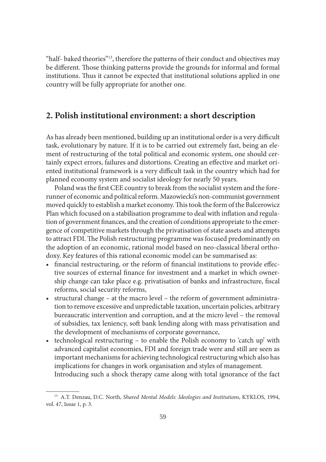"half- baked theories"<sup>13</sup>, therefore the patterns of their conduct and objectives may be different. Those thinking patterns provide the grounds for informal and formal institutions. Thus it cannot be expected that institutional solutions applied in one country will be fully appropriate for another one.

### **2. Polish institutional environment: a short description**

As has already been mentioned, building up an institutional order is a very difficult task, evolutionary by nature. If it is to be carried out extremely fast, being an element of restructuring of the total political and economic system, one should certainly expect errors, failures and distortions. Creating an effective and market oriented institutional framework is a very difficult task in the country which had for planned economy system and socialist ideology for nearly 50 years.

Poland was the first CEE country to break from the socialist system and the forerunner of economic and political reform. Mazowiecki's non-communist government moved quickly to establish a market economy. This took the form of the Balcerowicz Plan which focused on a stabilisation programme to deal with inflation and regulation of government finances, and the creation of conditions appropriate to the emergence of competitive markets through the privatisation of state assets and attempts to attract FDI. The Polish restructuring programme was focused predominantly on the adoption of an economic, rational model based on neo-classical liberal orthodoxy. Key features of this rational economic model can be summarised as:

- financial restructuring, or the reform of financial institutions to provide effective sources of external finance for investment and a market in which ownership change can take place e.g. privatisation of banks and infrastructure, fiscal reforms, social security reforms,
- structural change at the macro level the reform of government administration to remove excessive and unpredictable taxation, uncertain policies, arbitrary bureaucratic intervention and corruption, and at the micro level – the removal of subsidies, tax leniency, soft bank lending along with mass privatisation and the development of mechanisms of corporate governance,
- technological restructuring to enable the Polish economy to 'catch up' with advanced capitalist economies, FDI and foreign trade were and still are seen as important mechanisms for achieving technological restructuring which also has implications for changes in work organisation and styles of management.

Introducing such a shock therapy came along with total ignorance of the fact

<sup>13</sup> A.T. Denzau, D.C. North, *Shared Mental Models: Ideologies and Institutions*, KYKLOS, 1994, vol. 47, Issue 1, p. 3.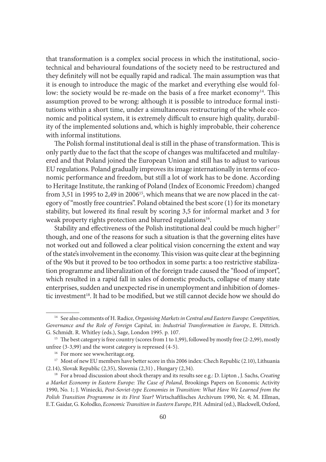that transformation is a complex social process in which the institutional, sociotechnical and behavioural foundations of the society need to be restructured and they definitely will not be equally rapid and radical. The main assumption was that it is enough to introduce the magic of the market and everything else would follow: the society would be re-made on the basis of a free market economy<sup>14</sup>. This assumption proved to be wrong: although it is possible to introduce formal institutions within a short time, under a simultaneous restructuring of the whole economic and political system, it is extremely difficult to ensure high quality, durability of the implemented solutions and, which is highly improbable, their coherence with informal institutions.

The Polish formal institutional deal is still in the phase of transformation. This is only partly due to the fact that the scope of changes was multifaceted and multilayered and that Poland joined the European Union and still has to adjust to various EU regulations. Poland gradually improves its image internationally in terms of economic performance and freedom, but still a lot of work has to be done. According to Heritage Institute, the ranking of Poland (Index of Economic Freedom) changed from 3,51 in 1995 to 2,49 in 2006<sup>15</sup>, which means that we are now placed in the category of "mostly free countries". Poland obtained the best score (1) for its monetary stability, but lowered its final result by scoring 3,5 for informal market and 3 for weak property rights protection and blurred regulations<sup>16</sup>.

Stability and effectiveness of the Polish institutional deal could be much higher<sup>17</sup> though, and one of the reasons for such a situation is that the governing elites have not worked out and followed a clear political vision concerning the extent and way of the state's involvement in the economy. This vision was quite clear at the beginning of the 90s but it proved to be too orthodox in some parts: a too restrictive stabilization programme and liberalization of the foreign trade caused the "flood of import", which resulted in a rapid fall in sales of domestic products, collapse of many state enterprises, sudden and unexpected rise in unemployment and inhibition of domestic investment<sup>18</sup>. It had to be modified, but we still cannot decide how we should do

<sup>14</sup> See also comments of H. Radice, *Organising Markets in Central and Eastern Europe: Competition, Governance and the Role of Foreign Capital*, in: *Industrial Transformation in Europe*, E. Dittrich. G. Schmidt. R. Whitley (eds.), Sage, London 1995. p. 107.

<sup>&</sup>lt;sup>15</sup> The best category is free country (scores from 1 to 1,99), followed by mostly free (2-2,99), mostly unfree (3-3,99) and the worst category is repressed (4-5).<br><sup>16</sup> For more see www.heritage.org.

<sup>&</sup>lt;sup>17</sup> Most of new EU members have better score in this 2006 index: Chech Republic (2.10), Lithuania (2.14), Slovak Republic (2,35), Slovenia (2,31) , Hungary (2,34).

<sup>18</sup> For a broad discussion about shock therapy and its results see e.g.: D. Lipton , J. Sachs, *Creating a Market Economy in Eastern Europe: The Case of Poland*, Brookings Papers on Economic Activity 1990, No. 1; J. Winiecki, *Post-Soviet-type Economies in Transition: What Have We Learned from the Polish Transition Programme in its First Year?* Wirtschaftlisches Archivum 1990, Nr. 4; M. Ellman, E.T. Gaidar, G. Kołodko, *Economic Transition in Eastern Europe*, P.H. Admiral (ed.), Blackwell, Oxford,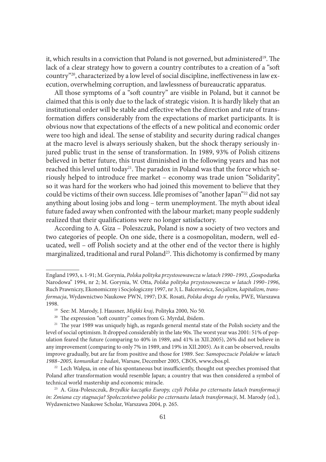it, which results in a conviction that Poland is not governed, but administered<sup>19</sup>. The lack of a clear strategy how to govern a country contributes to a creation of a "soft country"<sup>20</sup>, characterized by a low level of social discipline, ineffectiveness in law execution, overwhelming corruption, and lawlessness of bureaucratic apparatus.

All those symptoms of a "soft country" are visible in Poland, but it cannot be claimed that this is only due to the lack of strategic vision. It is hardly likely that an institutional order will be stable and effective when the direction and rate of transformation differs considerably from the expectations of market participants. It is obvious now that expectations of the effects of a new political and economic order were too high and ideal. The sense of stability and security during radical changes at the macro level is always seriously shaken, but the shock therapy seriously injured public trust in the sense of transformation. In 1989, 93% of Polish citizens believed in better future, this trust diminished in the following years and has not reached this level until today<sup>21</sup>. The paradox in Poland was that the force which seriously helped to introduce free market – economy was trade union "Solidarity", so it was hard for the workers who had joined this movement to believe that they could be victims of their own success. Idle promises of "another Japan"22 did not say anything about losing jobs and long – term unemployment. The myth about ideal future faded away when confronted with the labour market; many people suddenly realized that their qualifications were no longer satisfactory.

According to A. Giza – Poleszczuk, Poland is now a society of two vectors and two categories of people. On one side, there is a cosmopolitan, modern, well educated, well – off Polish society and at the other end of the vector there is highly marginalized, traditional and rural Poland<sup>23</sup>. This dichotomy is confirmed by many

<sup>20</sup> The expression "soft country" comes from G. Myrdal, ibidem.

England 1993, s. 1-91; M. Gorynia, *Polska polityka przystosowawcza w latach 1990–1993*, "Gospodarka Narodowa" 1994, nr 2; M. Gorynia, W. Otta, *Polska polityka przystosowawcza w latach 1990–1996*, Ruch Prawniczy, Ekonomiczny i Socjologiczny 1997, nr 3; L. Balcerowicz, *Socjalizm, kapitalizm, transformacja*, Wydawnictwo Naukowe PWN, 1997; D.K. Rosati, *Polska droga do rynku*, PWE, Warszawa 1998. 19 See: M. Marody, J. Hausner, *Miękki kraj*, Polityka 2000, No 50.

<sup>&</sup>lt;sup>21</sup> The year 1989 was uniquely high, as regards general mental state of the Polish society and the level of social optimism. It dropped considerably in the late 90s. The worst year was 2001: 51% of population feared the future (comparing to 40% in 1989, and 41% in XII.2005), 26% did not believe in any improvement (comparing to only 7% in 1989, and 19% in XII.2005). As it can be observed, results improve gradually, but are far from positive and those for 1989. See: *Samopoczucie Polaków w latach 1988–2005, komunikat z badań*, Warsaw, December 2005, CBOS, www.cbos.pl.

 $22$  Lech Wałęsa, in one of his spontaneous but insufficiently, thought out speeches promised that Poland after transformation would resemble Japan; a country that was then considered a symbol of technical world mastership and economic miracle. 23 A. Giza-Poleszczuk, *Brzydkie kaczątko Europy, czyli Polska po czternastu latach transformacji* 

*in: Zmiana czy stagnacja? Społeczeństwo polskie po czternastu latach transformacji*, M. Marody (ed.), Wydawnictwo Naukowe Scholar, Warszawa 2004, p. 265.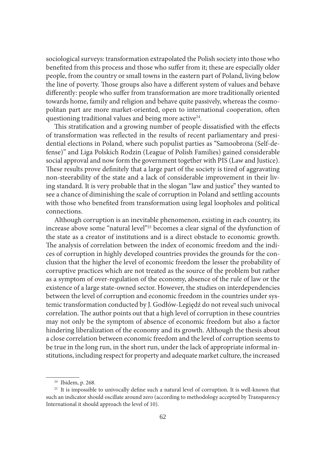sociological surveys: transformation extrapolated the Polish society into those who benefited from this process and those who suffer from it; these are especially older people, from the country or small towns in the eastern part of Poland, living below the line of poverty. Those groups also have a different system of values and behave differently: people who suffer from transformation are more traditionally oriented towards home, family and religion and behave quite passively, whereas the cosmopolitan part are more market-oriented, open to international cooperation, often questioning traditional values and being more active<sup>24</sup>.

This stratification and a growing number of people dissatisfied with the effects of transformation was reflected in the results of recent parliamentary and presidential elections in Poland, where such populist parties as "Samoobrona (Self-defense)" and Liga Polskich Rodzin (League of Polish Families) gained considerable social approval and now form the government together with PIS (Law and Justice). These results prove definitely that a large part of the society is tired of aggravating non-steerability of the state and a lack of considerable improvement in their living standard. It is very probable that in the slogan "law and justice" they wanted to see a chance of diminishing the scale of corruption in Poland and settling accounts with those who benefited from transformation using legal loopholes and political connections.

Although corruption is an inevitable phenomenon, existing in each country, its increase above some "natural level"25 becomes a clear signal of the dysfunction of the state as a creator of institutions and is a direct obstacle to economic growth. The analysis of correlation between the index of economic freedom and the indices of corruption in highly developed countries provides the grounds for the conclusion that the higher the level of economic freedom the lesser the probability of corruptive practices which are not treated as the source of the problem but rather as a symptom of over-regulation of the economy, absence of the rule of law or the existence of a large state-owned sector. However, the studies on interdependencies between the level of corruption and economic freedom in the countries under systemic transformation conducted by J. Godłów-Legiędź do not reveal such univocal correlation. The author points out that a high level of corruption in these countries may not only be the symptom of absence of economic freedom but also a factor hindering liberalization of the economy and its growth. Although the thesis about a close correlation between economic freedom and the level of corruption seems to be true in the long run, in the short run, under the lack of appropriate informal institutions, including respect for property and adequate market culture, the increased

<sup>24</sup> Ibidem, p. 268.

<sup>&</sup>lt;sup>25</sup> It is impossible to univocally define such a natural level of corruption. It is well-known that such an indicator should oscillate around zero (according to methodology accepted by Transparency International it should approach the level of 10).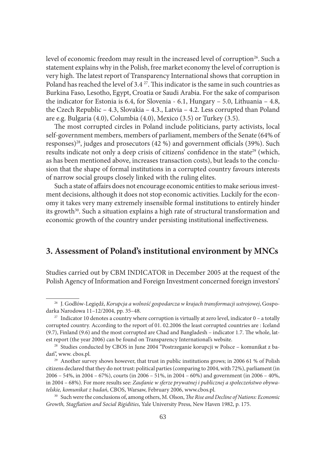level of economic freedom may result in the increased level of corruption<sup>26</sup>. Such a statement explains why in the Polish, free market economy the level of corruption is very high. The latest report of Transparency International shows that corruption in Poland has reached the level of 3.4  $^{27}$ . This indicator is the same in such countries as Burkina Faso, Lesotho, Egypt, Croatia or Saudi Arabia. For the sake of comparison the indicator for Estonia is 6.4, for Slovenia - 6.1, Hungary – 5.0, Lithuania – 4.8, the Czech Republic – 4.3, Slovakia – 4.3., Latvia – 4.2. Less corrupted than Poland are e.g. Bulgaria (4.0), Columbia (4.0), Mexico (3.5) or Turkey (3.5).

The most corrupted circles in Poland include politicians, party activists, local self-government members, members of parliament, members of the Senate (64% of responses)<sup>28</sup>, judges and prosecutors  $(42\%)$  and government officials  $(39\%)$ . Such results indicate not only a deep crisis of citizens' confidence in the state<sup>29</sup> (which, as has been mentioned above, increases transaction costs), but leads to the conclusion that the shape of formal institutions in a corrupted country favours interests of narrow social groups closely linked with the ruling elites.

Such a state of affairs does not encourage economic entities to make serious investment decisions, although it does not stop economic activities. Luckily for the economy it takes very many extremely insensible formal institutions to entirely hinder its growth<sup>30</sup>. Such a situation explains a high rate of structural transformation and economic growth of the country under persisting institutional ineffectiveness.

## **3. Assessment of Poland's institutional environment by MNCs**

Studies carried out by CBM INDICATOR in December 2005 at the request of the Polish Agency of Information and Foreign Investment concerned foreign investors'

<sup>26</sup> J. Godłów-Legiędź, *Korupcja a wolność gospodarcza w krajach transformacji ustrojowej*, Gospodarka Narodowa 11–12/2004, pp. 35–48.

<sup>&</sup>lt;sup>27</sup> Indicator 10 denotes a country where corruption is virtually at zero level, indicator  $0 - a$  totally corrupted country. According to the report of 01. 02.2006 the least corrupted countries are : Iceland  $(9.7)$ , Finland  $(9.6)$  and the most corrupted are Chad and Bangladesh – indicator 1.7. The whole, latest report (the year 2006) can be found on Transparency International's website.

<sup>28</sup> Studies conducted by CBOS in June 2004 "Postrzeganie korupcji w Polsce – komunikat z badań", www. cbos.pl.

<sup>&</sup>lt;sup>29</sup> Another survey shows however, that trust in public institutions grows; in 2006 61 % of Polish citizens declared that they do not trust: political parties (comparing to 2004, with 72%), parliament (in 2006 – 54%, in 2004 – 67%), courts (in 2006 – 51%, in 2004 – 60%) and government (in 2006 – 40%, in 2004 – 68%). For more results see: *Zaufanie w sferze prywatnej i publicznej a społeczeństwo obywatelskie, komunikat z badań*, CBOS, Warsaw, February 2006, www.cbos.pl. 30 Such were the conclusions of, among others, M. Olson, *Th e Rise and Decline of Nations: Economic* 

*Growth, Stagfl ation and Social Rigidities*, Yale University Press, New Haven 1982, p. 175.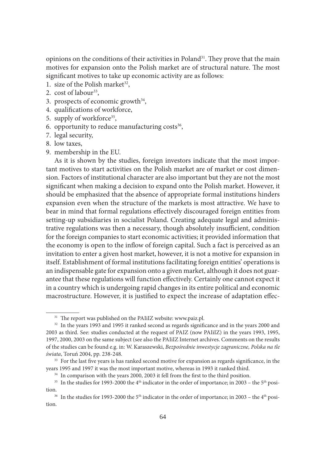opinions on the conditions of their activities in Poland<sup>31</sup>. They prove that the main motives for expansion onto the Polish market are of structural nature. The most significant motives to take up economic activity are as follows:

- 1. size of the Polish market<sup>32</sup>,
- 2.  $cost of labour^{33}$ ,
- 3. prospects of economic growth<sup>34</sup>,
- 4. qualifications of workforce,
- 5. supply of workforce<sup>35</sup>,
- 6. opportunity to reduce manufacturing costs $36$ ,
- 7. legal security,
- 8. low taxes,
- 9. membership in the EU.

As it is shown by the studies, foreign investors indicate that the most important motives to start activities on the Polish market are of market or cost dimension. Factors of institutional character are also important but they are not the most significant when making a decision to expand onto the Polish market. However, it should be emphasized that the absence of appropriate formal institutions hinders expansion even when the structure of the markets is most attractive. We have to bear in mind that formal regulations effectively discouraged foreign entities from setting-up subsidiaries in socialist Poland. Creating adequate legal and administrative regulations was then a necessary, though absolutely insufficient, condition for the foreign companies to start economic activities; it provided information that the economy is open to the inflow of foreign capital. Such a fact is perceived as an invitation to enter a given host market, however, it is not a motive for expansion in itself. Establishment of formal institutions facilitating foreign entities' operations is an indispensable gate for expansion onto a given market, although it does not guarantee that these regulations will function effectively. Certainly one cannot expect it in a country which is undergoing rapid changes in its entire political and economic macrostructure. However, it is justified to expect the increase of adaptation effec-

<sup>&</sup>lt;sup>31</sup> The report was published on the PAIiIZ website: www.paiz.pl.

<sup>&</sup>lt;sup>32</sup> In the years 1993 and 1995 it ranked second as regards significance and in the years 2000 and 2003 as third. See: studies conducted at the request of PAIZ (now PAIiIZ) in the years 1993, 1995, 1997, 2000, 2003 on the same subject (see also the PAIiIZ Internet archives. Comments on the results of the studies can be found e.g. in: W. Karaszewski, *Bezpośrednie inwestycje zagraniczne, Polska na tle świata*, Toruń 2004, pp. 238-248.

<sup>&</sup>lt;sup>33</sup> For the last five years is has ranked second motive for expansion as regards significance, in the years 1995 and 1997 it was the most important motive, whereas in 1993 it ranked third.

<sup>&</sup>lt;sup>34</sup> In comparison with the years 2000, 2003 it fell from the first to the third position.

<sup>&</sup>lt;sup>35</sup> In the studies for 1993-2000 the 4<sup>th</sup> indicator in the order of importance; in 2003 – the 5<sup>th</sup> position.<br><sup>36</sup> In the studies for 1993-2000 the 5<sup>th</sup> indicator in the order of importance; in 2003 – the 4<sup>th</sup> posi-

tion.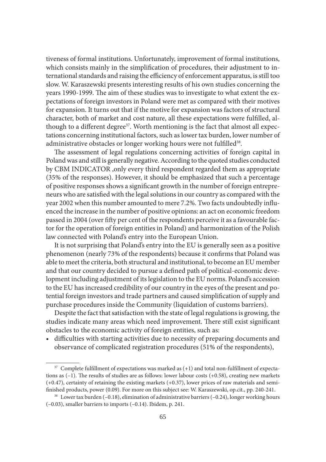tiveness of formal institutions. Unfortunately, improvement of formal institutions, which consists mainly in the simplification of procedures, their adjustment to international standards and raising the efficiency of enforcement apparatus, is still too slow. W. Karaszewski presents interesting results of his own studies concerning the years 1990-1999. The aim of these studies was to investigate to what extent the expectations of foreign investors in Poland were met as compared with their motives for expansion. It turns out that if the motive for expansion was factors of structural character, both of market and cost nature, all these expectations were fulfilled, although to a different degree<sup>37</sup>. Worth mentioning is the fact that almost all expectations concerning institutional factors, such as lower tax burden, lower number of administrative obstacles or longer working hours were not fulfilled<sup>38</sup>.

The assessment of legal regulations concerning activities of foreign capital in Poland was and still is generally negative. According to the quoted studies conducted by CBM INDICATOR ,only every third respondent regarded them as appropriate (35% of the responses). However, it should be emphasized that such a percentage of positive responses shows a significant growth in the number of foreign entrepreneurs who are satisfied with the legal solutions in our country as compared with the year 2002 when this number amounted to mere 7.2%. Two facts undoubtedly influenced the increase in the number of positive opinions: an act on economic freedom passed in 2004 (over fifty per cent of the respondents perceive it as a favourable factor for the operation of foreign entities in Poland) and harmonization of the Polish law connected with Poland's entry into the European Union.

It is not surprising that Poland's entry into the EU is generally seen as a positive phenomenon (nearly 73% of the respondents) because it confirms that Poland was able to meet the criteria, both structural and institutional, to become an EU member and that our country decided to pursue a defined path of political-economic development including adjustment of its legislation to the EU norms. Poland's accession to the EU has increased credibility of our country in the eyes of the present and potential foreign investors and trade partners and caused simplification of supply and purchase procedures inside the Community (liquidation of customs barriers).

Despite the fact that satisfaction with the state of legal regulations is growing, the studies indicate many areas which need improvement. There still exist significant obstacles to the economic activity of foreign entities, such as:

• difficulties with starting activities due to necessity of preparing documents and observance of complicated registration procedures (51% of the respondents),

 $37$  Complete fulfillment of expectations was marked as  $(+1)$  and total non-fulfillment of expectations as  $(-1)$ . The results of studies are as follows: lower labour costs  $(+0.58)$ , creating new markets (+0.47), certainty of retaining the existing markets (+0.37), lower prices of raw materials and semifinished products, power (0.09). For more on this subject see: W. Karaszewski, op.cit., pp. 240-241.

<sup>&</sup>lt;sup>38</sup> Lower tax burden (-0.18), elimination of administrative barriers (-0.24), longer working hours (–0.03), smaller barriers to imports (–0.14). Ibidem, p. 241.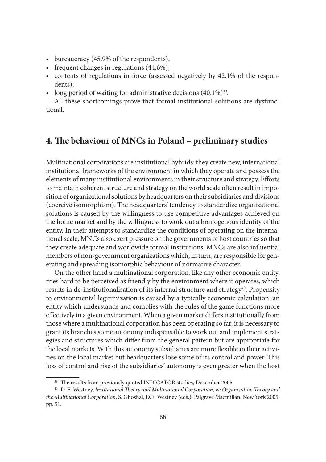- bureaucracy (45.9% of the respondents),
- frequent changes in regulations (44.6%),
- contents of regulations in force (assessed negatively by 42.1% of the respondents),
- long period of waiting for administrative decisions  $(40.1\%)^{39}$ .

All these shortcomings prove that formal institutional solutions are dysfunctional.

### **4. The behaviour of MNCs in Poland – preliminary studies**

Multinational corporations are institutional hybrids: they create new, international institutional frameworks of the environment in which they operate and possess the elements of many institutional environments in their structure and strategy. Efforts to maintain coherent structure and strategy on the world scale often result in imposition of organizational solutions by headquarters on their subsidiaries and divisions (coercive isomorphism). The headquarters' tendency to standardize organizational solutions is caused by the willingness to use competitive advantages achieved on the home market and by the willingness to work out a homogenous identity of the entity. In their attempts to standardize the conditions of operating on the international scale, MNCs also exert pressure on the governments of host countries so that they create adequate and worldwide formal institutions. MNCs are also influential members of non-government organizations which, in turn, are responsible for generating and spreading isomorphic behaviour of normative character.

On the other hand a multinational corporation, like any other economic entity, tries hard to be perceived as friendly by the environment where it operates, which results in de-institutionalisation of its internal structure and strategy<sup>40</sup>. Propensity to environmental legitimization is caused by a typically economic calculation: an entity which understands and complies with the rules of the game functions more effectively in a given environment. When a given market differs institutionally from those where a multinational corporation has been operating so far, it is necessary to grant its branches some autonomy indispensable to work out and implement strategies and structures which differ from the general pattern but are appropriate for the local markets. With this autonomy subsidiaries are more flexible in their activities on the local market but headquarters lose some of its control and power. This loss of control and rise of the subsidiaries' autonomy is even greater when the host

<sup>&</sup>lt;sup>39</sup> The results from previously quoted INDICATOR studies, December 2005.

<sup>&</sup>lt;sup>40</sup> D. E. Westney, *Institutional Theory and Multinational Corporation*, w: *Organization Theory and the Multinational Corporation*, S. Ghoshal, D.E. Westney (eds.), Palgrave Macmillan, New York 2005, pp. 51.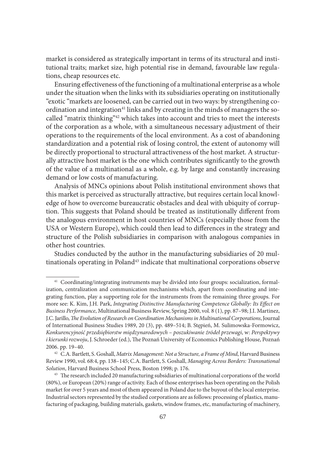market is considered as strategically important in terms of its structural and institutional traits; market size, high potential rise in demand, favourable law regulations, cheap resources etc.

Ensuring effectiveness of the functioning of a multinational enterprise as a whole under the situation when the links with its subsidiaries operating on institutionally "exotic "markets are loosened, can be carried out in two ways: by strengthening coordination and integration<sup>41</sup> links and by creating in the minds of managers the socalled "matrix thinking"42 which takes into account and tries to meet the interests of the corporation as a whole, with a simultaneous necessary adjustment of their operations to the requirements of the local environment. As a cost of abandoning standardization and a potential risk of losing control, the extent of autonomy will be directly proportional to structural attractiveness of the host market. A structurally attractive host market is the one which contributes significantly to the growth of the value of a multinational as a whole, e.g. by large and constantly increasing demand or low costs of manufacturing.

Analysis of MNCs opinions about Polish institutional environment shows that this market is perceived as structurally attractive, but requires certain local knowledge of how to overcome bureaucratic obstacles and deal with ubiquity of corruption. This suggests that Poland should be treated as institutionally different from the analogous environment in host countries of MNCs (especially those from the USA or Western Europe), which could then lead to differences in the strategy and structure of the Polish subsidiaries in comparison with analogous companies in other host countries.

Studies conducted by the author in the manufacturing subsidiaries of 20 multinationals operating in Poland<sup>43</sup> indicate that multinational corporations observe

<sup>41</sup> Coordinating/integrating instruments may be divided into four groups: socialization, formalization, centralization and communication mechanisms which, apart from coordinating and integrating function, play a supporting role for the instruments from the remaining three groups. For more see: K. Kim, J.H. Park, *Integrating Distinctive Manufacturing Competence Globally: Its Effect on Business Performance*, Multinational Business Review, Spring 2000, vol. 8 (1), pp. 87–98; J.I. Martinez, J.C. Jarillo, *Th e Evolution of Research on Coordination Mechanisms in Multinational Corporations*, Journal of International Business Studies 1989, 20 (3), pp. 489–514; B. Stępień, M. Sulimowska-Formowicz, *Konkurencyjność przedsiębiorstw międzynarodowych – poszukiwanie źródeł przewagi*, w: *Perspektywy*  i kierunki rozwoju, J. Schroeder (ed.), The Poznań University of Economics Publishing House, Poznań 2006. pp. 19–40.

<sup>42</sup> C.A. Bartlett, S. Goshall, *Matrix Management: Not a Structure, a Frame of Mind*, Harvard Business Review 1990, vol. 68:4, pp. 138–145; C.A. Bartlett, S. Goshall, *Managing Across Borders: Transnational Solution*, Harvard Business School Press, Boston 1998; p. 176.

<sup>&</sup>lt;sup>43</sup> The research included 20 manufacturing subsidiaries of multinational corporations of the world (80%), or European (20%) range of activity. Each of those enterprises has been operating on the Polish market for over 5 years and most of them appeared in Poland due to the buyout of the local enterprise. Industrial sectors represented by the studied corporations are as follows: processing of plastics, manufacturing of packaging, building materials, gaskets, window frames, etc, manufacturing of machinery,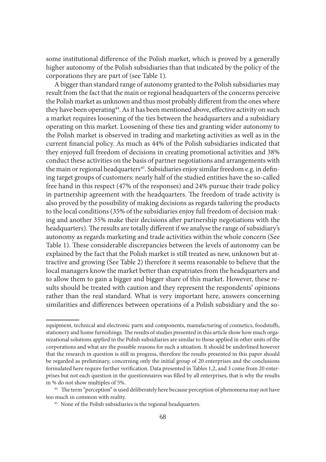some institutional difference of the Polish market, which is proved by a generally higher autonomy of the Polish subsidiaries than that indicated by the policy of the corporations they are part of (see Table 1).

A bigger than standard range of autonomy granted to the Polish subsidiaries may result from the fact that the main or regional headquarters of the concerns perceive the Polish market as unknown and thus most probably different from the ones where they have been operating<sup>44</sup>. As it has been mentioned above, effective activity on such a market requires loosening of the ties between the headquarters and a subsidiary operating on this market. Loosening of these ties and granting wider autonomy to the Polish market is observed in trading and marketing activities as well as in the current financial policy. As much as 44% of the Polish subsidiaries indicated that they enjoyed full freedom of decisions in creating promotional activities and 38% conduct these activities on the basis of partner negotiations and arrangements with the main or regional headquarters<sup>45</sup>. Subsidiaries enjoy similar freedom e.g. in defining target groups of customers: nearly half of the studied entities have the so-called free hand in this respect (47% of the responses) and 24% pursue their trade policy in partnership agreement with the headquarters. The freedom of trade activity is also proved by the possibility of making decisions as regards tailoring the products to the local conditions (35% of the subsidiaries enjoy full freedom of decision making and another 35% make their decisions after partnership negotiations with the headquarters). The results are totally different if we analyse the range of subsidiary's autonomy as regards marketing and trade activities within the whole concern (See Table 1). These considerable discrepancies between the levels of autonomy can be explained by the fact that the Polish market is still treated as new, unknown but attractive and growing (See Table 2) therefore it seems reasonable to believe that the local managers know the market better than expatriates from the headquarters and to allow them to gain a bigger and bigger share of this market. However, these results should be treated with caution and they represent the respondents' opinions rather than the real standard. What is very important here, answers concerning similarities and differences between operations of a Polish subsidiary and the so-

equipment, technical and electronic parts and components, manufacturing of cosmetics, foodstuffs, stationery and home furnishings. The results of studies presented in this article show how much organizational solutions applied in the Polish subsidiaries are similar to those applied in other units of the corporations and what are the possible reasons for such a situation. It should be underlined however that the research in question is still in progress, therefore the results presented in this paper should be regarded as preliminary, concerning only the initial group of 20 enterprises and the conclusions formulated here require further verification. Data presented in Tables 1,2, and 3 come from 20 enterprises but not each question in the questionnaires was filled by all enterprises, that is why the results in % do not show multiples of 5%.<br><sup>44</sup> The term "perception" is used deliberately here because perception of phenomena may not have

too much in common with reality. 45 None of the Polish subsidiaries is the regional headquarters.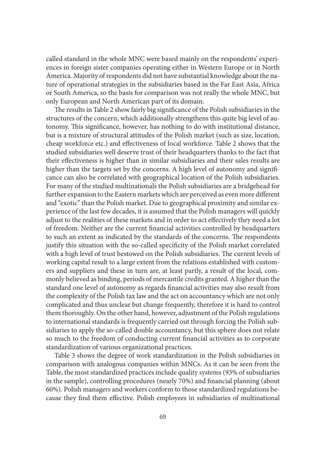called standard in the whole MNC were based mainly on the respondents' experiences in foreign sister companies operating either in Western Europe or in North America. Majority of respondents did not have substantial knowledge about the nature of operational strategies in the subsidiaries based in the Far East Asia, Africa or South America, so the basis for comparison was not really the whole MNC, but only European and North American part of its domain.

The results in Table 2 show fairly big significance of the Polish subsidiaries in the structures of the concern, which additionally strengthens this quite big level of autonomy. This significance, however, has nothing to do with institutional distance, but is a mixture of structural attitudes of the Polish market (such as size, location, cheap workforce etc.) and effectiveness of local workforce. Table 2 shows that the studied subsidiaries well deserve trust of their headquarters thanks to the fact that their effectiveness is higher than in similar subsidiaries and their sales results are higher than the targets set by the concerns. A high level of autonomy and significance can also be correlated with geographical location of the Polish subsidiaries. For many of the studied multinationals the Polish subsidiaries are a bridgehead for further expansion to the Eastern markets which are perceived as even more different and "exotic" than the Polish market. Due to geographical proximity and similar experience of the last few decades, it is assumed that the Polish managers will quickly adjust to the realities of these markets and in order to act effectively they need a lot of freedom. Neither are the current financial activities controlled by headquarters to such an extent as indicated by the standards of the concerns. The respondents justify this situation with the so-called specificity of the Polish market correlated with a high level of trust bestowed on the Polish subsidiaries. The current levels of working capital result to a large extent from the relations established with customers and suppliers and these in turn are, at least partly, a result of the local, commonly believed as binding, periods of mercantile credits granted. A higher than the standard one level of autonomy as regards financial activities may also result from the complexity of the Polish tax law and the act on accountancy which are not only complicated and thus unclear but change frequently, therefore it is hard to control them thoroughly. On the other hand, however, adjustment of the Polish regulations to international standards is frequently carried out through forcing the Polish subsidiaries to apply the so-called double accountancy, but this sphere does not relate so much to the freedom of conducting current financial activities as to corporate standardization of various organizational practices.

Table 3 shows the degree of work standardization in the Polish subsidiaries in comparison with analogous companies within MNCs. As it can be seen from the Table, the most standardized practices include quality systems (93% of subsidiaries in the sample), controlling procedures (nearly 70%) and financial planning (about 60%). Polish managers and workers conform to those standardized regulations because they find them effective. Polish employees in subsidiaries of multinational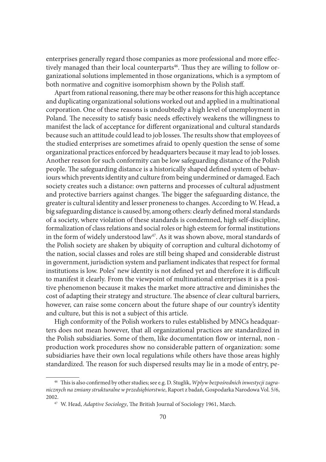enterprises generally regard those companies as more professional and more effectively managed than their local counterparts<sup>46</sup>. Thus they are willing to follow organizational solutions implemented in those organizations, which is a symptom of both normative and cognitive isomorphism shown by the Polish staff.

Apart from rational reasoning, there may be other reasons for this high acceptance and duplicating organizational solutions worked out and applied in a multinational corporation. One of these reasons is undoubtedly a high level of unemployment in Poland. The necessity to satisfy basic needs effectively weakens the willingness to manifest the lack of acceptance for different organizational and cultural standards because such an attitude could lead to job losses. The results show that employees of the studied enterprises are sometimes afraid to openly question the sense of some organizational practices enforced by headquarters because it may lead to job losses. Another reason for such conformity can be low safeguarding distance of the Polish people. The safeguarding distance is a historically shaped defined system of behaviours which prevents identity and culture from being undermined or damaged. Each society creates such a distance: own patterns and processes of cultural adjustment and protective barriers against changes. The bigger the safeguarding distance, the greater is cultural identity and lesser proneness to changes. According to W. Head, a big safeguarding distance is caused by, among others: clearly defined moral standards of a society, where violation of these standards is condemned, high self-discipline, formalization of class relations and social roles or high esteem for formal institutions in the form of widely understood law<sup>47</sup>. As it was shown above, moral standards of the Polish society are shaken by ubiquity of corruption and cultural dichotomy of the nation, social classes and roles are still being shaped and considerable distrust in government, jurisdiction system and parliament indicates that respect for formal institutions is low. Poles' new identity is not defined yet and therefore it is difficult to manifest it clearly. From the viewpoint of multinational enterprises it is a positive phenomenon because it makes the market more attractive and diminishes the cost of adapting their strategy and structure. The absence of clear cultural barriers, however, can raise some concern about the future shape of our country's identity and culture, but this is not a subject of this article.

High conformity of the Polish workers to rules established by MNCs headquarters does not mean however, that all organizational practices are standardized in the Polish subsidiaries. Some of them, like documentation flow or internal, non production work procedures show no considerable pattern of organization: some subsidiaries have their own local regulations while others have those areas highly standardized. The reason for such dispersed results may lie in a mode of entry, pe-

<sup>&</sup>lt;sup>46</sup> This is also confirmed by other studies; see e.g. D. Stuglik, *Wpływ bezpośrednich inwestycji zagranicznych na zmiany strukturalne w przedsiębiorstwie*, Raport z badań, Gospodarka Narodowa Vol. 5/6, 2002.

<sup>&</sup>lt;sup>47</sup> W. Head, *Adaptive Sociology*, The British Journal of Sociology 1961, March.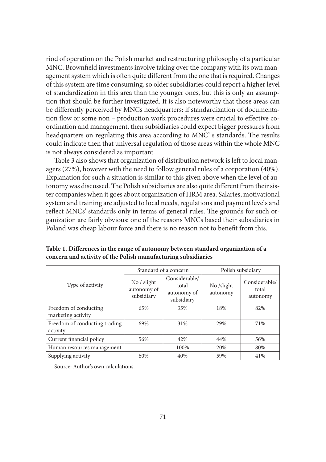riod of operation on the Polish market and restructuring philosophy of a particular MNC. Brownfield investments involve taking over the company with its own management system which is often quite different from the one that is required. Changes of this system are time consuming, so older subsidiaries could report a higher level of standardization in this area than the younger ones, but this is only an assumption that should be further investigated. It is also noteworthy that those areas can be differently perceived by MNCs headquarters: if standardization of documentation flow or some non – production work procedures were crucial to effective coordination and management, then subsidiaries could expect bigger pressures from headquarters on regulating this area according to MNC's standards. The results could indicate then that universal regulation of those areas within the whole MNC is not always considered as important.

Table 3 also shows that organization of distribution network is left to local managers (27%), however with the need to follow general rules of a corporation (40%). Explanation for such a situation is similar to this given above when the level of autonomy was discussed. The Polish subsidiaries are also quite different from their sister companies when it goes about organization of HRM area. Salaries, motivational system and training are adjusted to local needs, regulations and payment levels and reflect MNCs' standards only in terms of general rules. The grounds for such organization are fairly obvious: one of the reasons MNCs based their subsidiaries in Poland was cheap labour force and there is no reason not to benefit from this.

|                                             |                                          | Standard of a concern                               |                        | Polish subsidiary                  |
|---------------------------------------------|------------------------------------------|-----------------------------------------------------|------------------------|------------------------------------|
| Type of activity                            | No / slight<br>autonomy of<br>subsidiary | Considerable/<br>total<br>autonomy of<br>subsidiary | No /slight<br>autonomy | Considerable/<br>total<br>autonomy |
| Freedom of conducting<br>marketing activity | 65%                                      | 35%                                                 | 18%                    | 82%                                |
| Freedom of conducting trading<br>activity   | 69%                                      | 31%                                                 | 29%                    | 71%                                |
| Current financial policy                    | 56%                                      | 42%                                                 | 44%                    | 56%                                |
| Human resources management                  |                                          | 100%                                                | 20%                    | 80%                                |
| Supplying activity                          | 60%                                      | 40%                                                 | 59%                    | 41%                                |

Table 1. Differences in the range of autonomy between standard organization of a **concern and activity of the Polish manufacturing subsidiaries**

Source: Author's own calculations.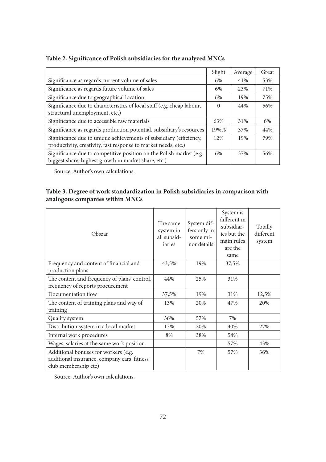|                                                                                                                                      | Slight | Average | Great |
|--------------------------------------------------------------------------------------------------------------------------------------|--------|---------|-------|
| Significance as regards current volume of sales                                                                                      | 6%     | 41%     | 53%   |
| Significance as regards future volume of sales                                                                                       | 6%     | 23%     | 71%   |
| Significance due to geographical location                                                                                            | 6%     | 19%     | 75%   |
| Significance due to characteristics of local staff (e.g. cheap labour,<br>structural unemployment, etc.)                             | 0      | 44%     | 56%   |
| Significance due to accessible raw materials                                                                                         | 63%    | 31%     | 6%    |
| Significance as regards production potential, subsidiary's resources                                                                 | 19%%   | 37%     | 44%   |
| Significance due to unique achievements of subsidiary (efficiency,<br>productivity, creativity, fast response to market needs, etc.) | 12%    | 19%     | 79%   |
| Significance due to competitive position on the Polish market (e.g.<br>biggest share, highest growth in market share, etc.)          | 6%     | 37%     | 56%   |

#### Table 2. Significance of Polish subsidiaries for the analyzed MNCs

Source: Author's own calculations.

#### **Table 3. Degree of work standardization in Polish subsidiaries in comparison with analogous companies within MNCs**

| Obszar                                                                                                      | The same<br>system in<br>all subsid-<br>iaries | System dif-<br>fers only in<br>some mi-<br>nor details | System is<br>different in<br>subsidiar-<br>ies but the<br>main rules<br>are the<br>same | Totally<br>different<br>system |
|-------------------------------------------------------------------------------------------------------------|------------------------------------------------|--------------------------------------------------------|-----------------------------------------------------------------------------------------|--------------------------------|
| Frequency and content of financial and<br>production plans                                                  | 43,5%                                          | 19%                                                    | 37,5%                                                                                   |                                |
| The content and frequency of plans' control,<br>frequency of reports procurement                            | 44%                                            | 25%                                                    | 31%                                                                                     |                                |
| Documentation flow                                                                                          | 37,5%                                          | 19%                                                    | 31%                                                                                     | 12,5%                          |
| The content of training plans and way of<br>training                                                        | 13%                                            | 20%                                                    | 47%                                                                                     | 20%                            |
| Quality system                                                                                              | 36%                                            | 57%                                                    | 7%                                                                                      |                                |
| Distribution system in a local market                                                                       | 13%                                            | 20%                                                    | 40%                                                                                     | 27%                            |
| Internal work procedures                                                                                    | 8%                                             | 38%                                                    | 54%                                                                                     |                                |
| Wages, salaries at the same work position                                                                   |                                                |                                                        | 57%                                                                                     | 43%                            |
| Additional bonuses for workers (e.g.<br>additional insurance, company cars, fitness<br>club membership etc) |                                                | 7%                                                     | 57%                                                                                     | 36%                            |

Source: Author's own calculations.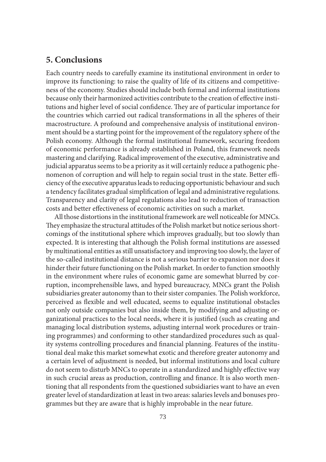## **5. Conclusions**

Each country needs to carefully examine its institutional environment in order to improve its functioning: to raise the quality of life of its citizens and competitiveness of the economy. Studies should include both formal and informal institutions because only their harmonized activities contribute to the creation of effective institutions and higher level of social confidence. They are of particular importance for the countries which carried out radical transformations in all the spheres of their macrostructure. A profound and comprehensive analysis of institutional environment should be a starting point for the improvement of the regulatory sphere of the Polish economy. Although the formal institutional framework, securing freedom of economic performance is already established in Poland, this framework needs mastering and clarifying. Radical improvement of the executive, administrative and judicial apparatus seems to be a priority as it will certainly reduce a pathogenic phenomenon of corruption and will help to regain social trust in the state. Better efficiency of the executive apparatus leads to reducing opportunistic behaviour and such a tendency facilitates gradual simplification of legal and administrative regulations. Transparency and clarity of legal regulations also lead to reduction of transaction costs and better effectiveness of economic activities on such a market.

All those distortions in the institutional framework are well noticeable for MNCs. They emphasize the structural attitudes of the Polish market but notice serious shortcomings of the institutional sphere which improves gradually, but too slowly than expected. It is interesting that although the Polish formal institutions are assessed by multinational entities as still unsatisfactory and improving too slowly, the layer of the so-called institutional distance is not a serious barrier to expansion nor does it hinder their future functioning on the Polish market. In order to function smoothly in the environment where rules of economic game are somewhat blurred by corruption, incomprehensible laws, and hyped bureaucracy, MNCs grant the Polish subsidiaries greater autonomy than to their sister companies. The Polish workforce, perceived as flexible and well educated, seems to equalize institutional obstacles not only outside companies but also inside them, by modifying and adjusting organizational practices to the local needs, where it is justified (such as creating and managing local distribution systems, adjusting internal work procedures or training programmes) and conforming to other standardized procedures such as quality systems controlling procedures and financial planning. Features of the institutional deal make this market somewhat exotic and therefore greater autonomy and a certain level of adjustment is needed, but informal institutions and local culture do not seem to disturb MNCs to operate in a standardized and highly effective way in such crucial areas as production, controlling and finance. It is also worth mentioning that all respondents from the questioned subsidiaries want to have an even greater level of standardization at least in two areas: salaries levels and bonuses programmes but they are aware that is highly improbable in the near future.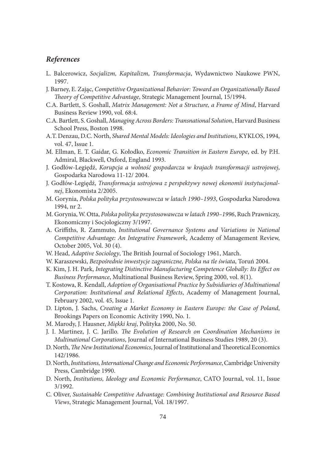#### *References*

- L. Balcerowicz, *Socjalizm, Kapitalizm, Transformacja*, Wydawnictwo Naukowe PWN, 1997.
- J. Barney, E. Zając, *Competitive Organizational Behavior: Toward an Organizationally Based Th eory of Competitive Advantage*, Strategic Management Journal, 15/1994.
- C.A. Bartlett, S. Goshall, *Matrix Management: Not a Structure, a Frame of Mind*, Harvard Business Review 1990, vol. 68:4.
- C.A. Bartlett, S. Goshall, *Managing Across Borders: Transnational Solution*, Harvard Business School Press, Boston 1998.
- A.T. Denzau, D.C. North, *Shared Mental Models: Ideologies and Institutions*, KYKLOS, 1994, vol. 47, Issue 1.
- M. Ellman, E. T. Gaidar, G. Kołodko, *Economic Transition in Eastern Europe*, ed. by P.H. Admiral, Blackwell, Oxford, England 1993.
- J. Godłów-Legiędź, *Korupcja a wolność gospodarcza w krajach transformacji ustrojowej*, Gospodarka Narodowa 11-12/ 2004.
- J. Godłów-Legiędź, *Transformacja ustrojowa z perspektywy nowej ekonomii instytucjonalnej*, Ekonomista 2/2005.
- M. Gorynia, *Polska polityka przystosowawcza w latach 1990–1993*, Gospodarka Narodowa 1994, nr 2.
- M. Gorynia, W. Otta, *Polska polityka przystosowawcza w latach 1990–1996*, Ruch Prawniczy, Ekonomiczny i Socjologiczny 3/1997.
- A. Griffi ths, R. Zammuto, *Institutional Governance Systems and Variations in National Competitive Advantage: An Integrative Framework*, Academy of Management Review, October 2005, Vol. 30 (4).
- W. Head, *Adaptive Sociology*, The British Journal of Sociology 1961, March.
- W. Karaszewski, *Bezpośrednie inwestycje zagraniczne, Polska na tle świata*, Toruń 2004.
- K. Kim, J. H. Park, *Integrating Distinctive Manufacturing Competence Globally: Its Effect on Business Performance*, Multinational Business Review, Spring 2000, vol. 8(1).
- T. Kostowa, R. Kendall, *Adoption of Organisational Practice by Subsidiaries of Multinational Corporation: Institutional and Relational Effects*, Academy of Management Journal, February 2002, vol. 45, Issue 1.
- D. Lipton, J. Sachs, *Creating a Market Economy in Eastern Europe: the Case of Poland*, Brookings Papers on Economic Activity 1990, No. 1.
- M. Marody, J. Hausner, *Miękki kraj*, Polityka 2000, No. 50.
- J. I. Martinez, J. C. Jarillo. *The Evolution of Research on Coordination Mechanisms in Multinational Corporations*, Journal of International Business Studies 1989, 20 (3).
- D. North, *The New Institutional Economics*, Journal of Institutional and Theoretical Economics 142/1986.
- D. North, *Institutions, International Change and Economic Performance*, Cambridge University Press, Cambridge 1990.
- D. North, *Institutions, Ideology and Economic Performance*, CATO Journal, vol. 11, Issue 3/1992.
- C. Oliver, *Sustainable Competitive Advantage: Combining Institutional and Resource Based Views*, Strategic Management Journal, Vol. 18/1997.